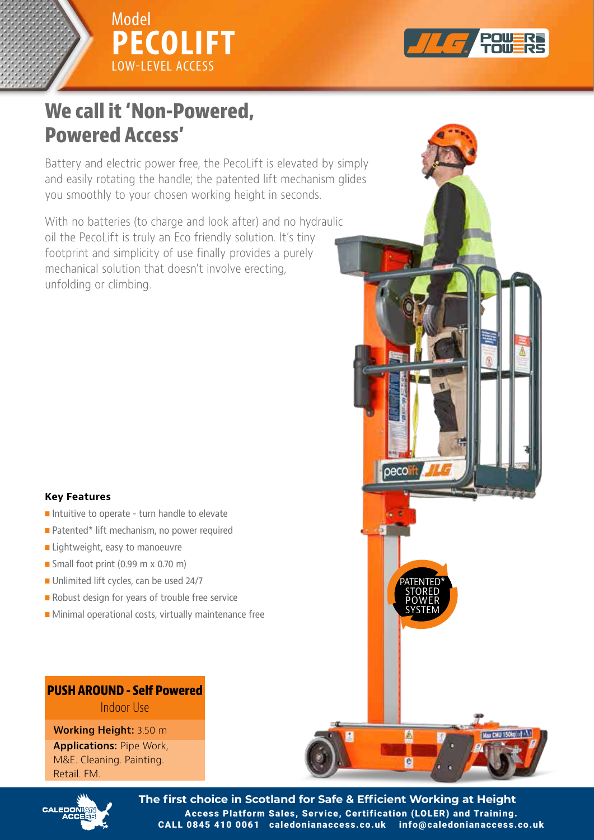



# **Powered Access' We call it 'Non-Powered, Powered Access'**

Battery and electric power free, the PecoLift is elevated by simply and easily rotating the handle; the patented lift mechanism glides you smoothly to your chosen working height in seconds.

oil the PecoLift is truly an Eco friendly solution. It's tiny footprint and simplicity of use finally provides a purely mechanical solution that doesn't involve erecting, unfolding or climbing. With no batteries (to charge and look after) and no hydraulic

### **Key Features**

- **Intuitive to operate turn handle to elevate**
- **Patented\* lift mechanism, no power required**
- $\blacksquare$  Lightweight, easy to manoeuvre
- **n** Small foot print (0.99 m x 0.70 m)
- $\blacksquare$  Unlimited lift cycles, can be used 24/7
- Robust design for years of trouble free service
- **n** Minimal operational costs, virtually maintenance free

## **PUSH AROUND - Self Powered AROUND - Self Powered AROUND - Self Powered PUSH AROUND - Self Powered**

**Working Height:** 3.50 m M&E. Cleaning. Painting. Retail. FM. **Painting. Painting.** Painting. **Painting.** Painting. Painting. Painting. Painting. Painting. Painting. Painting. Painting. Painting. Painting. Painting. Painting. Painting. Painting. Painting. Painting. Painti **Applications:** Pipe Work,



**The first choice in Scotland for Safe & Efficient Working at Height** Access Platform Sales, Service, Certification (LOLER) and Training. CALL 0845 410 0061 caledonianaccess.co.uk info@caledonianaccess.co.uk

POWER SYSTEM **POWER** SYSTEM

A

e

PATENTED\* STORED POWER SYSTEM

oeco